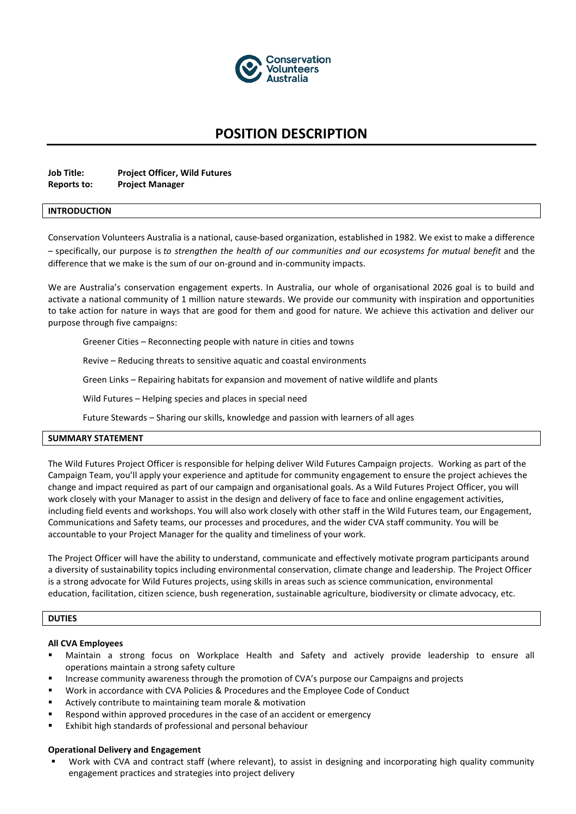

# **POSITION DESCRIPTION**

| <b>Job Title:</b> | <b>Project Officer, Wild Futures</b> |
|-------------------|--------------------------------------|
| Reports to:       | <b>Project Manager</b>               |

#### **INTRODUCTION**

Conservation Volunteers Australia is a national, cause-based organization, established in 1982. We exist to make a difference – specifically, our purpose is *to strengthen the health of our communities and our ecosystems for mutual benefit* and the difference that we make is the sum of our on-ground and in-community impacts.

We are Australia's conservation engagement experts. In Australia, our whole of organisational 2026 goal is to build and activate a national community of 1 million nature stewards. We provide our community with inspiration and opportunities to take action for nature in ways that are good for them and good for nature. We achieve this activation and deliver our purpose through five campaigns:

Greener Cities – Reconnecting people with nature in cities and towns

Revive – Reducing threats to sensitive aquatic and coastal environments

Green Links – Repairing habitats for expansion and movement of native wildlife and plants

Wild Futures – Helping species and places in special need

Future Stewards – Sharing our skills, knowledge and passion with learners of all ages

## **SUMMARY STATEMENT**

The Wild Futures Project Officer is responsible for helping deliver Wild Futures Campaign projects. Working as part of the Campaign Team, you'll apply your experience and aptitude for community engagement to ensure the project achieves the change and impact required as part of our campaign and organisational goals. As a Wild Futures Project Officer, you will work closely with your Manager to assist in the design and delivery of face to face and online engagement activities, including field events and workshops. You will also work closely with other staff in the Wild Futures team, our Engagement, Communications and Safety teams, our processes and procedures, and the wider CVA staff community. You will be accountable to your Project Manager for the quality and timeliness of your work.

The Project Officer will have the ability to understand, communicate and effectively motivate program participants around a diversity of sustainability topics including environmental conservation, climate change and leadership. The Project Officer is a strong advocate for Wild Futures projects, using skills in areas such as science communication, environmental education, facilitation, citizen science, bush regeneration, sustainable agriculture, biodiversity or climate advocacy, etc.

## **DUTIES**

#### **All CVA Employees**

- Maintain a strong focus on Workplace Health and Safety and actively provide leadership to ensure all operations maintain a strong safety culture
- Increase community awareness through the promotion of CVA's purpose our Campaigns and projects
- Work in accordance with CVA Policies & Procedures and the Employee Code of Conduct
- Actively contribute to maintaining team morale & motivation
- Respond within approved procedures in the case of an accident or emergency
- Exhibit high standards of professional and personal behaviour

#### **Operational Delivery and Engagement**

Work with CVA and contract staff (where relevant), to assist in designing and incorporating high quality community engagement practices and strategies into project delivery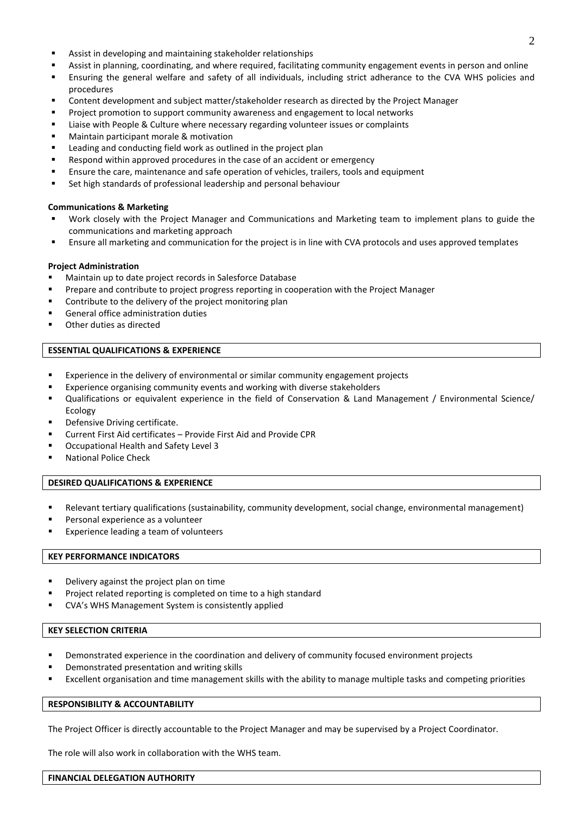- Assist in developing and maintaining stakeholder relationships
- Assist in planning, coordinating, and where required, facilitating community engagement events in person and online
- Ensuring the general welfare and safety of all individuals, including strict adherance to the CVA WHS policies and procedures
- Content development and subject matter/stakeholder research as directed by the Project Manager
- Project promotion to support community awareness and engagement to local networks
- Liaise with People & Culture where necessary regarding volunteer issues or complaints
- Maintain participant morale & motivation
- Leading and conducting field work as outlined in the project plan
- Respond within approved procedures in the case of an accident or emergency
- Ensure the care, maintenance and safe operation of vehicles, trailers, tools and equipment
- Set high standards of professional leadership and personal behaviour

## **Communications & Marketing**

- Work closely with the Project Manager and Communications and Marketing team to implement plans to guide the communications and marketing approach
- Ensure all marketing and communication for the project is in line with CVA protocols and uses approved templates

## **Project Administration**

- Maintain up to date project records in Salesforce Database
- Prepare and contribute to project progress reporting in cooperation with the Project Manager
- Contribute to the delivery of the project monitoring plan
- General office administration duties
- Other duties as directed

## **ESSENTIAL QUALIFICATIONS & EXPERIENCE**

- Experience in the delivery of environmental or similar community engagement projects
- Experience organising community events and working with diverse stakeholders
- Qualifications or equivalent experience in the field of Conservation & Land Management / Environmental Science/ Ecology
- Defensive Driving certificate.
- Current First Aid certificates Provide First Aid and Provide CPR
- Occupational Health and Safety Level 3
- **National Police Check**

## **DESIRED QUALIFICATIONS & EXPERIENCE**

- Relevant tertiary qualifications (sustainability, community development, social change, environmental management)
- Personal experience as a volunteer
- Experience leading a team of volunteers

## **KEY PERFORMANCE INDICATORS**

- Delivery against the project plan on time
- Project related reporting is completed on time to a high standard
- CVA's WHS Management System is consistently applied

## **KEY SELECTION CRITERIA**

- Demonstrated experience in the coordination and delivery of community focused environment projects
- Demonstrated presentation and writing skills
- Excellent organisation and time management skills with the ability to manage multiple tasks and competing priorities

## **RESPONSIBILITY & ACCOUNTABILITY**

The Project Officer is directly accountable to the Project Manager and may be supervised by a Project Coordinator.

The role will also work in collaboration with the WHS team.

#### **FINANCIAL DELEGATION AUTHORITY**